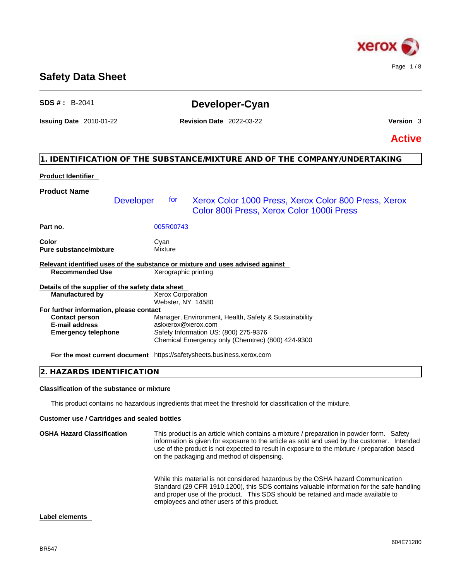

# **Safety Data Sheet**

| <b>SDS #</b> : $B-2041$                                                       |                                               | Developer-Cyan                                                                                    |               |
|-------------------------------------------------------------------------------|-----------------------------------------------|---------------------------------------------------------------------------------------------------|---------------|
| <b>Issuing Date</b> 2010-01-22                                                | <b>Revision Date 2022-03-22</b>               |                                                                                                   | Version 3     |
|                                                                               |                                               |                                                                                                   | <b>Active</b> |
|                                                                               |                                               | 1. IDENTIFICATION OF THE SUBSTANCE/MIXTURE AND OF THE COMPANY/UNDERTAKING                         |               |
| <b>Product Identifier</b>                                                     |                                               |                                                                                                   |               |
| <b>Product Name</b>                                                           |                                               |                                                                                                   |               |
| <b>Developer</b>                                                              | for                                           | Xerox Color 1000 Press, Xerox Color 800 Press, Xerox<br>Color 800i Press, Xerox Color 1000i Press |               |
| Part no.                                                                      | 005R00743                                     |                                                                                                   |               |
| Color<br><b>Pure substance/mixture</b>                                        | Cyan<br><b>Mixture</b>                        |                                                                                                   |               |
| Relevant identified uses of the substance or mixture and uses advised against |                                               |                                                                                                   |               |
| <b>Recommended Use</b>                                                        | Xerographic printing                          |                                                                                                   |               |
| Details of the supplier of the safety data sheet                              |                                               |                                                                                                   |               |
| <b>Manufactured by</b>                                                        | <b>Xerox Corporation</b><br>Webster, NY 14580 |                                                                                                   |               |
| For further information, please contact                                       |                                               |                                                                                                   |               |
| <b>Contact person</b>                                                         |                                               | Manager, Environment, Health, Safety & Sustainability                                             |               |
| <b>E-mail address</b>                                                         |                                               | askxerox@xerox.com<br>Safety Information US: (800) 275-9376                                       |               |
| <b>Emergency telephone</b>                                                    |                                               | Chemical Emergency only (Chemtrec) (800) 424-9300                                                 |               |
| For the most current document https://safetysheets.business.xerox.com         |                                               |                                                                                                   |               |
| 2. HAZARDS IDENTIFICATION                                                     |                                               |                                                                                                   |               |

\_\_\_\_\_\_\_\_\_\_\_\_\_\_\_\_\_\_\_\_\_\_\_\_\_\_\_\_\_\_\_\_\_\_\_\_\_\_\_\_\_\_\_\_\_\_\_\_\_\_\_\_\_\_\_\_\_\_\_\_\_\_\_\_\_\_\_\_\_\_\_\_\_\_\_\_\_\_\_\_\_\_\_\_\_\_\_\_\_\_\_\_\_\_

# **Classification of the substance or mixture**

This product contains no hazardous ingredients that meet the threshold for classification of the mixture.

# **Customer use / Cartridges and sealed bottles**

| <b>OSHA Hazard Classification</b> | This product is an article which contains a mixture / preparation in powder form. Safety<br>information is given for exposure to the article as sold and used by the customer. Intended<br>use of the product is not expected to result in exposure to the mixture / preparation based<br>on the packaging and method of dispensing. |
|-----------------------------------|--------------------------------------------------------------------------------------------------------------------------------------------------------------------------------------------------------------------------------------------------------------------------------------------------------------------------------------|
|                                   | While this material is not considered hazardous by the OSHA hazard Communication<br>Standard (29 CFR 1910.1200), this SDS contains valuable information for the safe handling<br>and proper use of the product. This SDS should be retained and made available to<br>employees and other users of this product.                      |

# **Label elements**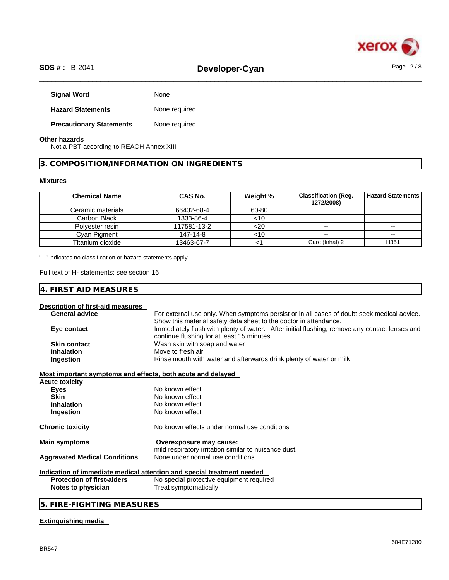

# \_\_\_\_\_\_\_\_\_\_\_\_\_\_\_\_\_\_\_\_\_\_\_\_\_\_\_\_\_\_\_\_\_\_\_\_\_\_\_\_\_\_\_\_\_\_\_\_\_\_\_\_\_\_\_\_\_\_\_\_\_\_\_\_\_\_\_\_\_\_\_\_\_\_\_\_\_\_\_\_\_\_\_\_\_\_\_\_\_\_\_\_\_\_ **SDS # :** B-2041 **Developer-Cyan** Page 2 / 8

| None          |
|---------------|
| None required |
| None required |
|               |

# **Other hazards**

Not a PBT according to REACH Annex XIII

**3. COMPOSITION/INFORMATION ON INGREDIENTS** 

# **Mixtures**

| <b>Chemical Name</b> | <b>CAS No.</b> | Weight % | <b>Classification (Req.</b><br>1272/2008) | <b>Hazard Statements</b> |
|----------------------|----------------|----------|-------------------------------------------|--------------------------|
| Ceramic materials    | 66402-68-4     | 60-80    |                                           | $-1$                     |
| Carbon Black         | 1333-86-4      | <10      | $\sim$ $\sim$                             | $\sim$ $\sim$            |
| Polyester resin      | 117581-13-2    | <20      | $\overline{\phantom{a}}$                  | $\overline{\phantom{m}}$ |
| Cyan Pigment         | 147-14-8       | <10      | $\sim$ $\sim$                             | $\sim$                   |
| Titanium dioxide     | 13463-67-7     |          | Carc (Inhal) 2                            | H <sub>351</sub>         |

"--" indicates no classification or hazard statements apply.

Full text of H- statements: see section 16

| . I F<br><b>ACLIDEC</b><br>$\sim$ $\sim$<br>- 71 1<br>эc<br><b>IVIE</b><br>91 L<br>↩<br>ハトレ<br>∸<br>י ب<br>ີ<br>◡ |  |
|-------------------------------------------------------------------------------------------------------------------|--|
|-------------------------------------------------------------------------------------------------------------------|--|

# **Description of first-aid measures**

| <b>General advice</b>                                       | For external use only. When symptoms persist or in all cases of doubt seek medical advice.    |
|-------------------------------------------------------------|-----------------------------------------------------------------------------------------------|
|                                                             | Show this material safety data sheet to the doctor in attendance.                             |
| Eye contact                                                 | Immediately flush with plenty of water. After initial flushing, remove any contact lenses and |
|                                                             | continue flushing for at least 15 minutes                                                     |
| <b>Skin contact</b>                                         | Wash skin with soap and water                                                                 |
| <b>Inhalation</b>                                           | Move to fresh air                                                                             |
| Ingestion                                                   | Rinse mouth with water and afterwards drink plenty of water or milk                           |
| Most important symptoms and effects, both acute and delayed |                                                                                               |
| Acute toxicity                                              |                                                                                               |
| <b>Eyes</b>                                                 | No known effect                                                                               |
| <b>Skin</b>                                                 | No known effect                                                                               |
| <b>Inhalation</b>                                           | No known effect                                                                               |
| Ingestion                                                   | No known effect                                                                               |
| <b>Chronic toxicity</b>                                     | No known effects under normal use conditions                                                  |
| <b>Main symptoms</b>                                        | Overexposure may cause:                                                                       |
|                                                             | mild respiratory irritation similar to nuisance dust.                                         |
| <b>Aggravated Medical Conditions</b>                        | None under normal use conditions                                                              |
|                                                             | Indication of immediate medical attention and special treatment needed                        |
| <b>Protection of first-aiders</b>                           | No special protective equipment required                                                      |
| Notes to physician                                          | Treat symptomatically                                                                         |
|                                                             |                                                                                               |

**5. FIRE-FIGHTING MEASURES** 

# **Extinguishing media**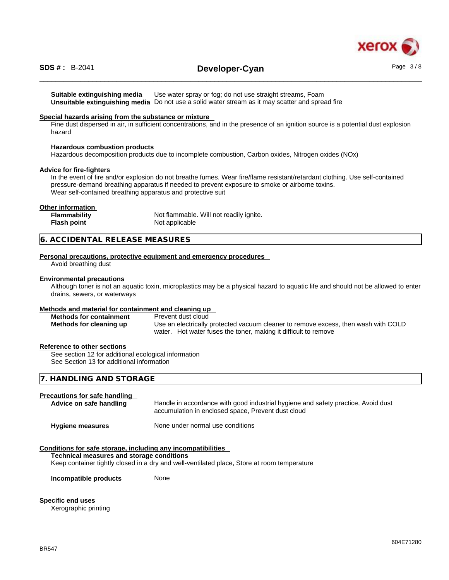

# \_\_\_\_\_\_\_\_\_\_\_\_\_\_\_\_\_\_\_\_\_\_\_\_\_\_\_\_\_\_\_\_\_\_\_\_\_\_\_\_\_\_\_\_\_\_\_\_\_\_\_\_\_\_\_\_\_\_\_\_\_\_\_\_\_\_\_\_\_\_\_\_\_\_\_\_\_\_\_\_\_\_\_\_\_\_\_\_\_\_\_\_\_\_ **SDS # :** B-2041 **Developer-Cyan** Page 3 / 8

**Suitable extinguishing media** Use water spray or fog; do not use straight streams, Foam **Unsuitable extinguishing media** Do not use a solid water stream as it may scatterand spread fire

#### **Special hazards arising from the substance or mixture**

Fine dust dispersed in air, in sufficient concentrations, and in the presence of an ignition source is a potential dust explosion hazard

#### **Hazardous combustion products**

Hazardous decomposition products due to incomplete combustion, Carbon oxides, Nitrogen oxides (NOx)

#### **Advice for fire-fighters**

In the event of fire and/or explosion do not breathe fumes. Wear fire/flame resistant/retardant clothing. Use self-contained pressure-demand breathing apparatus if needed to prevent exposure to smoke or airborne toxins. Wear self-contained breathing apparatus and protective suit

## **Other information**

| Flammability       | Not flammable. Will not readily ignite. |
|--------------------|-----------------------------------------|
| <b>Flash point</b> | Not applicable                          |

## **6. ACCIDENTAL RELEASE MEASURES**

#### **Personal precautions, protective equipment and emergency procedures**

Avoid breathing dust

#### **Environmental precautions**

Although toner is not an aquatic toxin, microplastics may be a physical hazard to aquatic life and should not be allowed to enter drains, sewers, or waterways

#### **Methods and material for containment and cleaning up**

| <b>Methods for containment</b> | Prevent dust cloud                                                                 |
|--------------------------------|------------------------------------------------------------------------------------|
| Methods for cleaning up        | Use an electrically protected vacuum cleaner to remove excess, then wash with COLD |
|                                | water. Hot water fuses the toner, making it difficult to remove                    |

#### **Reference to other sections**

See section 12 for additional ecological information See Section 13 for additional information

# **7. HANDLING AND STORAGE**

#### **Precautions for safe handling**

| Advice on safe handling | Handle in accordance with good industrial hygiene and safety practice, Avoid dust<br>accumulation in enclosed space, Prevent dust cloud |
|-------------------------|-----------------------------------------------------------------------------------------------------------------------------------------|
| <b>Hygiene measures</b> | None under normal use conditions                                                                                                        |

## **Conditions for safe storage, including any incompatibilities**

#### **Technical measures and storage conditions**

Keep container tightly closed in a dry and well-ventilated place, Store at room temperature

**Incompatible products** None

**Specific end uses**  Xerographic printing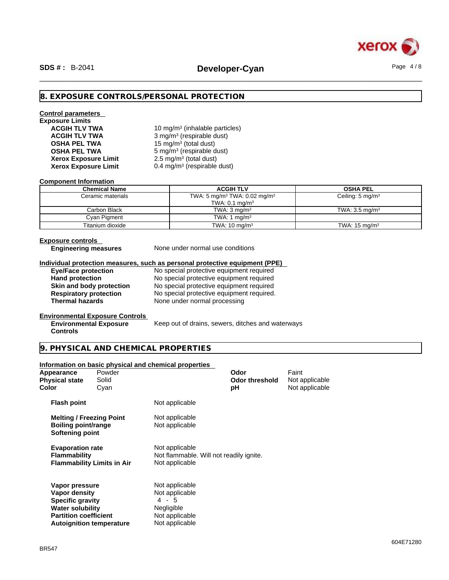

# **8. EXPOSURE CONTROLS/PERSONAL PROTECTION**

# **Control parameters Exposure Limits Xerox Exposure Limit**

**ACGIH TLV TWA** 10 mg/m<sup>3</sup> (inhalable particles) **ACGIH TLV TWA** 3 mg/m<sup>3</sup> (respirable dust) **OSHA PEL TWA** 15 mg/m<sup>3</sup> (total dust) **OSHA PEL TWA** 5 mg/m<sup>3</sup> (respirable dust)  $2.5 \text{ mg/m}^3$  (total dust) **Xerox Exposure Limit** 0.4 mg/m<sup>3</sup> (respirable dust)

#### **Component Information**

| <b>Chemical Name</b> | <b>ACGIH TLV</b>                                     | <b>OSHA PEL</b>             |
|----------------------|------------------------------------------------------|-----------------------------|
| Ceramic materials    | TWA: 5 mg/m <sup>3</sup> TWA: 0.02 mg/m <sup>3</sup> | Ceiling: $5 \text{ mg/m}^3$ |
|                      | TWA: $0.1 \text{ mg/m}^3$                            |                             |
| Carbon Black         | TWA: $3 \text{ ma/m}^3$                              | TWA: $3.5 \text{ ma/m}^3$   |
| Cyan Pigment         | TWA: 1 $mq/m3$                                       |                             |
| Titanium dioxide     | TWA: $10 \text{ mg/m}^3$                             | TWA: $15 \text{ mg/m}^3$    |

# **Exposure controls**

**Controls** 

**Engineering measures** None under normal use conditions

#### **Individual protection measures, such as personal protective equipment (PPE)**

**Eye/Face protection** No special protective equipment required

Hand protection **No special protective equipment required Skin and body protection** No special protective equipment required **Respiratory protection** No special protective equipment required. **Respiratory protection** No special protective equipment required.<br> **Thermal hazards** None under normal processing **Thermal hazards** None under normal processing

#### **Environmental Exposure Controls**

**Environmental Exposure** Keep out of drains, sewers, ditches and waterways

## **9. PHYSICAL AND CHEMICAL PROPERTIES**

#### **Information on basic physical and chemical properties**

| Appearance<br><b>Physical state</b><br>Color                                                                                                             | Powder<br>Solid<br>Cyan |                                                                                             | Odor<br><b>Odor threshold</b><br>рH | Faint<br>Not applicable<br>Not applicable |  |
|----------------------------------------------------------------------------------------------------------------------------------------------------------|-------------------------|---------------------------------------------------------------------------------------------|-------------------------------------|-------------------------------------------|--|
| <b>Flash point</b>                                                                                                                                       |                         | Not applicable                                                                              |                                     |                                           |  |
| <b>Melting / Freezing Point</b><br>Boiling point/range<br>Softening point                                                                                |                         | Not applicable<br>Not applicable                                                            |                                     |                                           |  |
| <b>Evaporation rate</b><br><b>Flammability</b><br><b>Flammability Limits in Air</b>                                                                      |                         | Not applicable<br>Not flammable. Will not readily ignite.<br>Not applicable                 |                                     |                                           |  |
| Vapor pressure<br>Vapor density<br><b>Specific gravity</b><br><b>Water solubility</b><br><b>Partition coefficient</b><br><b>Autoignition temperature</b> |                         | Not applicable<br>Not applicable<br>4 - 5<br>Negligible<br>Not applicable<br>Not applicable |                                     |                                           |  |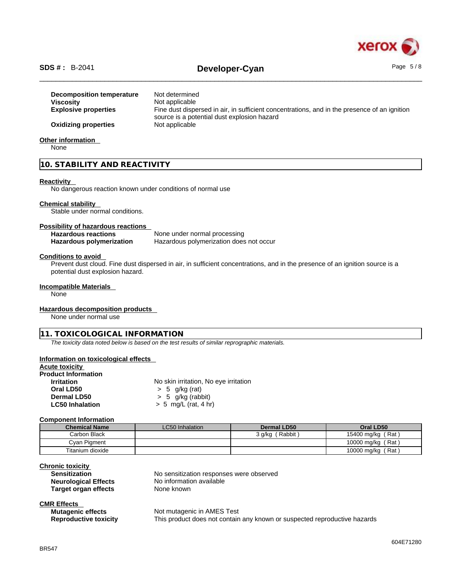

# \_\_\_\_\_\_\_\_\_\_\_\_\_\_\_\_\_\_\_\_\_\_\_\_\_\_\_\_\_\_\_\_\_\_\_\_\_\_\_\_\_\_\_\_\_\_\_\_\_\_\_\_\_\_\_\_\_\_\_\_\_\_\_\_\_\_\_\_\_\_\_\_\_\_\_\_\_\_\_\_\_\_\_\_\_\_\_\_\_\_\_\_\_\_ **SDS # :** B-2041 **Developer-Cyan** Page 5 / 8

| Decomposition temperature   | Not determined                                                                                                                              |
|-----------------------------|---------------------------------------------------------------------------------------------------------------------------------------------|
| <b>Viscosity</b>            | Not applicable                                                                                                                              |
| <b>Explosive properties</b> | Fine dust dispersed in air, in sufficient concentrations, and in the presence of an ignition<br>source is a potential dust explosion hazard |
| <b>Oxidizing properties</b> | Not applicable                                                                                                                              |
| Other information           |                                                                                                                                             |
| <b>N</b> one                |                                                                                                                                             |

None

# **10. STABILITY AND REACTIVITY**

#### **Reactivity**

No dangerous reaction known under conditions of normal use

#### **Chemical stability**

Stable under normal conditions.

#### **Possibility of hazardous reactions**

**Hazardous reactions** None under normal processing **Hazardous polymerization** Hazardous polymerization does not occur

#### **Conditions to avoid**

Prevent dust cloud. Fine dust dispersed in air, in sufficient concentrations, and in the presence of an ignition source is a potential dust explosion hazard.

# **Incompatible Materials**

None

#### **Hazardous decomposition products**

None under normal use

# **11. TOXICOLOGICAL INFORMATION**

*The toxicity data noted below is based on the test results of similar reprographic materials.* 

# **Information on toxicological effects**

| <b>Acute toxicity</b>      |                                       |
|----------------------------|---------------------------------------|
| <b>Product Information</b> |                                       |
| <b>Irritation</b>          | No skin irritation, No eye irritation |
| Oral LD50                  | $> 5$ g/kg (rat)                      |
| Dermal LD50                | $> 5$ g/kg (rabbit)                   |
| <b>LC50 Inhalation</b>     | $> 5$ mg/L (rat, 4 hr)                |

#### **Component Information**

| <b>Chemical Name</b> | LC50 Inhalation | Dermal LD50          | Oral LD50         |
|----------------------|-----------------|----------------------|-------------------|
| Carbon Black         |                 | . Rabbit ا<br>3 a/ka | 15400 mg/kg (Rat) |
| Cvan Pigment         |                 |                      | 10000 mg/kg (Rat) |
| Titanium dioxide     |                 |                      | 10000 mg/kg (Rat) |

#### **Chronic toxicity**

| _ _                         |                                          |
|-----------------------------|------------------------------------------|
| <b>Sensitization</b>        | No sensitization responses were observed |
| <b>Neurological Effects</b> | No information available                 |
| Target organ effects        | None known                               |
|                             |                                          |

# **CMR Effects**

| <b>Mutagenic effects</b>     | Not mutagenic in AMES Test                                                |
|------------------------------|---------------------------------------------------------------------------|
| <b>Reproductive toxicity</b> | This product does not contain any known or suspected reproductive hazards |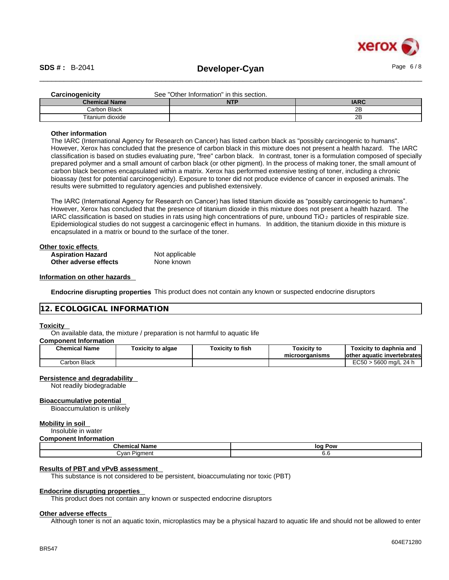

| <b>Carcinogenicity</b> | See "Other Information" in this section. |             |
|------------------------|------------------------------------------|-------------|
| <b>Chemical Name</b>   | <b>NTP</b>                               | <b>IARC</b> |
| Carbon Black           |                                          | 2Β          |
| Titanium dioxide       |                                          | 2B          |

#### **Other information**

The IARC (International Agency for Research on Cancer) has listed carbon black as "possibly carcinogenic to humans". However, Xerox has concluded that the presence of carbon black in this mixture does not present a health hazard. The IARC classification is based on studies evaluating pure, "free" carbon black. In contrast, toner is a formulation composed of specially prepared polymer and a small amount of carbon black (or other pigment). In the process of making toner, the small amount of carbon black becomes encapsulated within a matrix. Xerox has performed extensive testing of toner, including a chronic bioassay (test for potential carcinogenicity). Exposure to toner did not produce evidence of cancer in exposed animals. The results were submitted to regulatory agencies and published extensively.

The IARC (International Agency for Research on Cancer) has listed titanium dioxide as "possibly carcinogenic to humans". However, Xerox has concluded that the presence of titanium dioxide in this mixture does not present a health hazard. The IARC classification is based on studies in rats using high concentrations of pure, unbound TiO 2 particles of respirable size. Epidemiological studies do not suggest a carcinogenic effect in humans. In addition, the titanium dioxide in this mixture is encapsulated in a matrix or bound to the surface of the toner.

| Other toxic effects      |                |  |
|--------------------------|----------------|--|
| <b>Aspiration Hazard</b> | Not applicable |  |
| Other adverse effects    | None known     |  |

#### **Information on other hazards**

**Endocrine disrupting properties** This product does not contain any known or suspected endocrine disruptors

#### **12. ECOLOGICAL INFORMATION**

#### **Toxicity**

On available data, the mixture / preparation is not harmful to aquatic life

#### **Component Information**

| <b>Chemical Name</b> | <b>Foxicity to algae</b> | Toxicitv to fish | <b>Toxicity to</b><br>microorganisms | Toxicity to daphnia and<br>lother aquatic invertebrates |
|----------------------|--------------------------|------------------|--------------------------------------|---------------------------------------------------------|
| Carbon Black         |                          |                  |                                      | EC50<br>) > 5600 ma/L 24 h                              |

#### **Persistence and degradability**

Not readily biodegradable

#### **Bioaccumulative potential**

Bioaccumulation is unlikely

#### **Mobility in soil**

Insoluble in water

#### **Component Information**

| $\mathbf{A}$<br>∣ Name<br>unemical | loq<br>Pow |
|------------------------------------|------------|
| Dimmat<br>مvan<br>nument           | v.v        |

#### **Results of PBT and vPvB assessment**

This substance is not considered to be persistent, bioaccumulating nor toxic (PBT)

#### **Endocrine disrupting properties**

This product does not contain any known or suspected endocrine disruptors

## **Other adverse effects**

Although toner is not an aquatic toxin, microplastics may be a physical hazard to aquatic life and should not be allowed to enter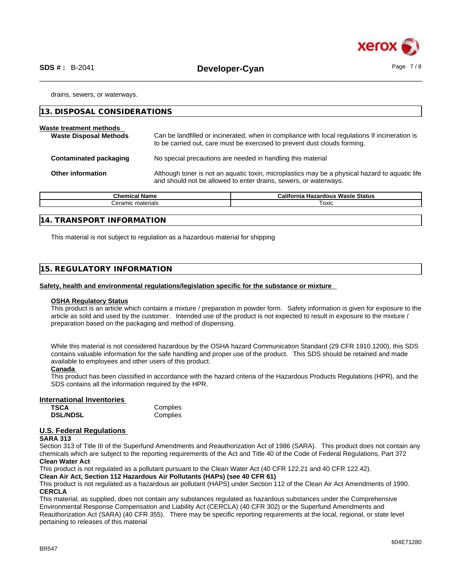

drains, sewers, or waterways.

| 13. DISPOSAL CONSIDERATIONS                              |                                                                                                                                                                             |
|----------------------------------------------------------|-----------------------------------------------------------------------------------------------------------------------------------------------------------------------------|
| Waste treatment methods<br><b>Waste Disposal Methods</b> | Can be landfilled or incinerated, when in compliance with local regulations If incineration is<br>to be carried out, care must be exercised to prevent dust clouds forming. |
| Contaminated packaging                                   | No special precautions are needed in handling this material                                                                                                                 |
| <b>Other information</b>                                 | Although toner is not an aquatic toxin, microplastics may be a physical hazard to aquatic life<br>and should not be allowed to enter drains, sewers, or waterways.          |

| <b>Chemical Name</b> | <b>California</b><br>.<br>เ Hazardous Waste Status |
|----------------------|----------------------------------------------------|
| materials<br>Ceramic | ™охіс                                              |
|                      |                                                    |

#### **14. TRANSPORT INFORMATION**

This material is not subject to regulation as a hazardous material for shipping

# **15. REGULATORY INFORMATION**

#### **Safety, health and environmental regulations/legislation specific for the substance or mixture**

#### **OSHA Regulatory Status**

This product is an article which contains a mixture / preparation in powder form. Safety information is given for exposure to the article as sold and used by the customer. Intended use of the product is not expected to result in exposure to the mixture / preparation based on the packaging and method of dispensing.

While this material is not considered hazardous by the OSHA hazard Communication Standard (29 CFR 1910.1200), this SDS contains valuable information for the safe handling and proper use of the product. This SDS should be retained and made available to employees and other users of this product.

#### **Canada**

This product has been classified in accordance with the hazard criteria of the Hazardous Products Regulations (HPR), and the SDS contains all the information required by the HPR.

#### **International Inventories**

| <b>TSCA</b>     | Complies |
|-----------------|----------|
| <b>DSL/NDSL</b> | Complies |

# **U.S. Federal Regulations**

#### **SARA 313**

Section 313 of Title III of the Superfund Amendments and Reauthorization Act of 1986 (SARA). This product does not contain any chemicals which are subject to the reporting requirements of the Act and Title 40 of the Code of Federal Regulations, Part 372 **Clean Water Act**

This product is not regulated as a pollutant pursuant to the Clean Water Act (40 CFR 122.21 and 40 CFR 122.42).

**Clean Air Act,Section 112 Hazardous Air Pollutants (HAPs) (see 40 CFR 61)**

This product is not regulated as a hazardous air pollutant (HAPS) under Section 112 of the Clean Air Act Amendments of 1990. **CERCLA**

This material, as supplied, does not contain any substances regulated as hazardous substances under the Comprehensive Environmental Response Compensation and Liability Act (CERCLA) (40 CFR 302) or the Superfund Amendments and Reauthorization Act (SARA) (40 CFR 355). There may be specific reporting requirements at the local, regional, or state level pertaining to releases of this material